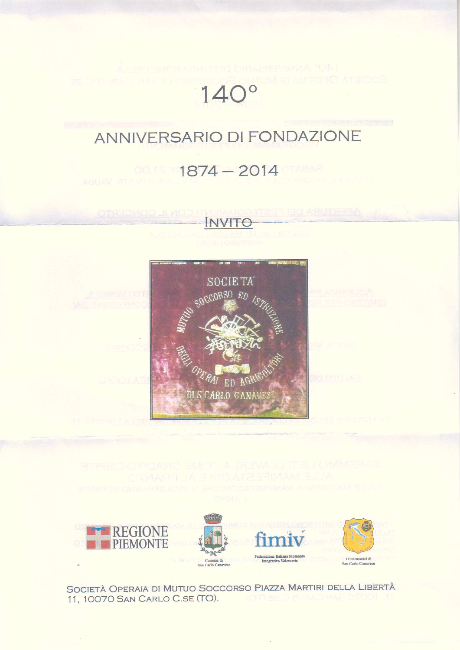## SOCIETÀ OPERAIA DI MUTILI  $140^\circ$

# ANNIVERSARIO DI FONDAZIONE

## $1874 - 2014$







SOCIETÀ OPERAIA DI MUTUO SOCCORSO PIAZZA MARTIRI DELLA LIBERTÀ 11, 10070 SAN CARLO C.SE (TO).